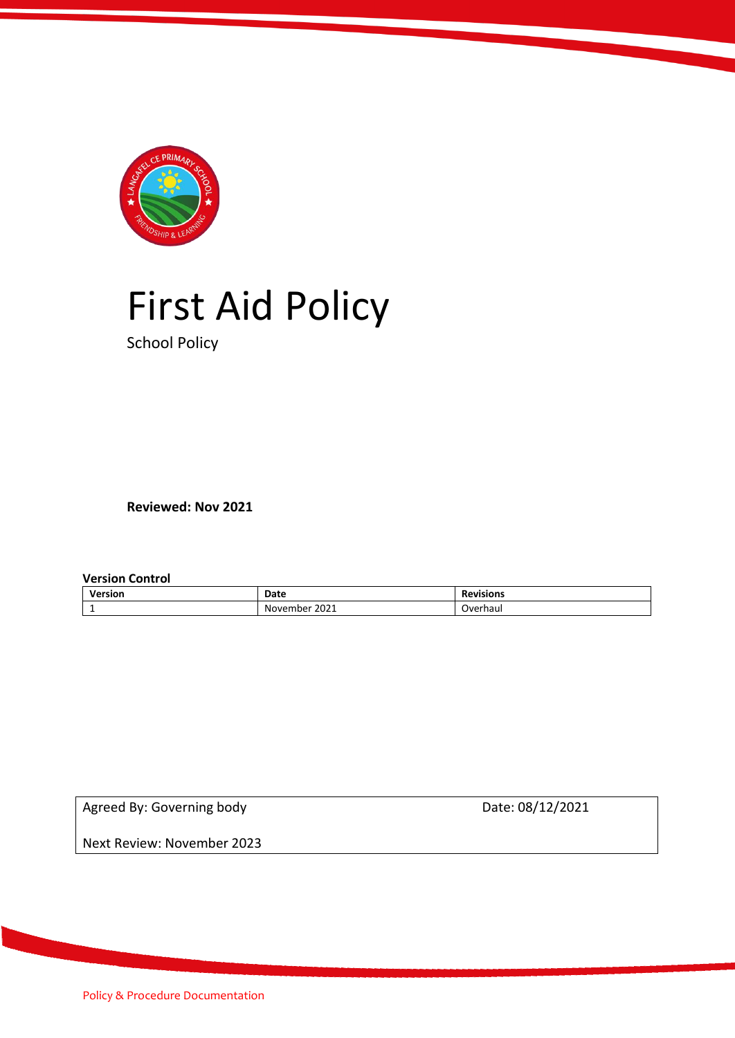

# First Aid Policy

School Policy

**Reviewed: Nov 2021**

**Version Control** 

| Version | Date                    | <b>Revisions</b> |
|---------|-------------------------|------------------|
| -       | 2021<br>- -<br>November | Overhaui         |

Agreed By: Governing body Date: 08/12/2021

Next Review: November 2023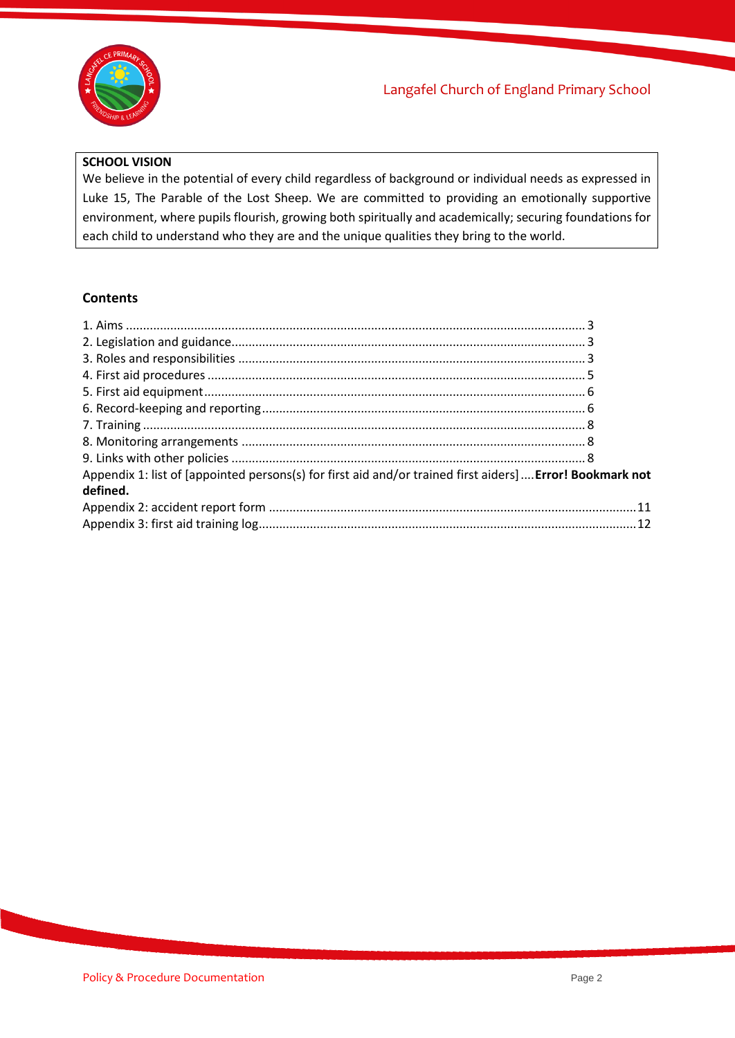

#### **SCHOOL VISION**

We believe in the potential of every child regardless of background or individual needs as expressed in Luke 15, The Parable of the Lost Sheep. We are committed to providing an emotionally supportive environment, where pupils flourish, growing both spiritually and academically; securing foundations for each child to understand who they are and the unique qualities they bring to the world.

#### **Contents**

| Appendix 1: list of [appointed persons(s) for first aid and/or trained first aiders]  Error! Bookmark not |  |
|-----------------------------------------------------------------------------------------------------------|--|
| defined.                                                                                                  |  |
|                                                                                                           |  |
|                                                                                                           |  |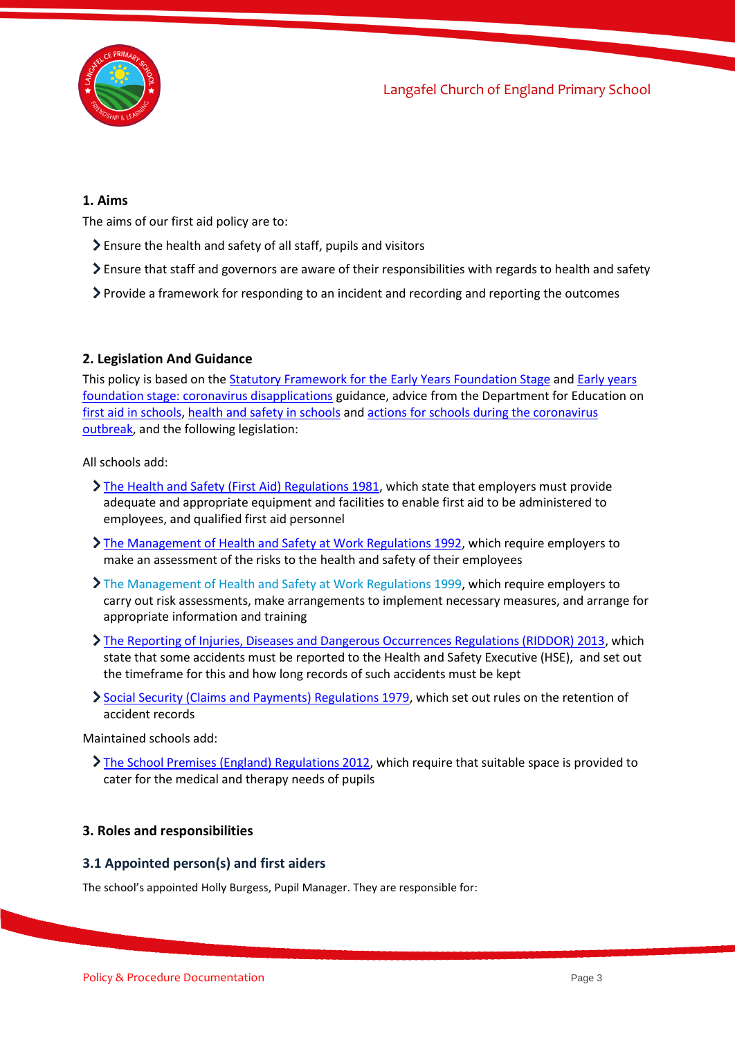

#### <span id="page-2-0"></span>**1. Aims**

The aims of our first aid policy are to:

- Ensure the health and safety of all staff, pupils and visitors
- Ensure that staff and governors are aware of their responsibilities with regards to health and safety
- <span id="page-2-1"></span> $\triangleright$  Provide a framework for responding to an incident and recording and reporting the outcomes

#### **2. Legislation And Guidance**

This policy is based on the [Statutory Framework for the Early Years](https://www.gov.uk/government/publications/early-years-foundation-stage-framework--2) Foundation Stage and [Early years](https://www.gov.uk/government/publications/early-years-foundation-stage-framework--2/early-years-foundation-stage-coronavirus-disapplications)  [foundation stage: coronavirus disapplications](https://www.gov.uk/government/publications/early-years-foundation-stage-framework--2/early-years-foundation-stage-coronavirus-disapplications) guidance, advice from the Department for Education on [first aid in schools,](https://www.gov.uk/government/publications/first-aid-in-schools) [health and safety in schools](https://www.gov.uk/government/publications/health-and-safety-advice-for-schools) and [actions for schools during the coronavirus](https://www.gov.uk/government/publications/actions-for-schools-during-the-coronavirus-outbreak)  [outbreak,](https://www.gov.uk/government/publications/actions-for-schools-during-the-coronavirus-outbreak) and the following legislation:

All schools add:

- [The Health and Safety \(First Aid\) Regulations 1981,](http://www.legislation.gov.uk/uksi/1981/917/regulation/3/made) which state that employers must provide adequate and appropriate equipment and facilities to enable first aid to be administered to employees, and qualified first aid personnel
- [The Management of Health and Safety at Work Regulations 1992,](http://www.legislation.gov.uk/uksi/1992/2051/regulation/3/made) which require employers to make an assessment of the risks to the health and safety of their employees
- [The Management of Health and Safety at Work Regulations 1999,](http://www.legislation.gov.uk/uksi/1999/3242/contents/made) which require employers to carry out risk assessments, make arrangements to implement necessary measures, and arrange for appropriate information and training
- [The Reporting of Injuries, Diseases and Dangerous Occurrences Regulations \(RIDDOR\) 2013,](http://www.legislation.gov.uk/uksi/2013/1471/schedule/1/paragraph/1/made) which state that some accidents must be reported to the Health and Safety Executive (HSE), and set out the timeframe for this and how long records of such accidents must be kept
- [Social Security \(Claims and Payments\) Regulations 1979,](http://www.legislation.gov.uk/uksi/1979/628) which set out rules on the retention of accident records

Maintained schools add:

[The School Premises \(England\) Regulations 2012,](http://www.legislation.gov.uk/uksi/2012/1943/regulation/5/made) which require that suitable space is provided to cater for the medical and therapy needs of pupils

#### <span id="page-2-2"></span>**3. Roles and responsibilities**

#### **3.1 Appointed person(s) and first aiders**

The school's appointed Holly Burgess, Pupil Manager. They are responsible for: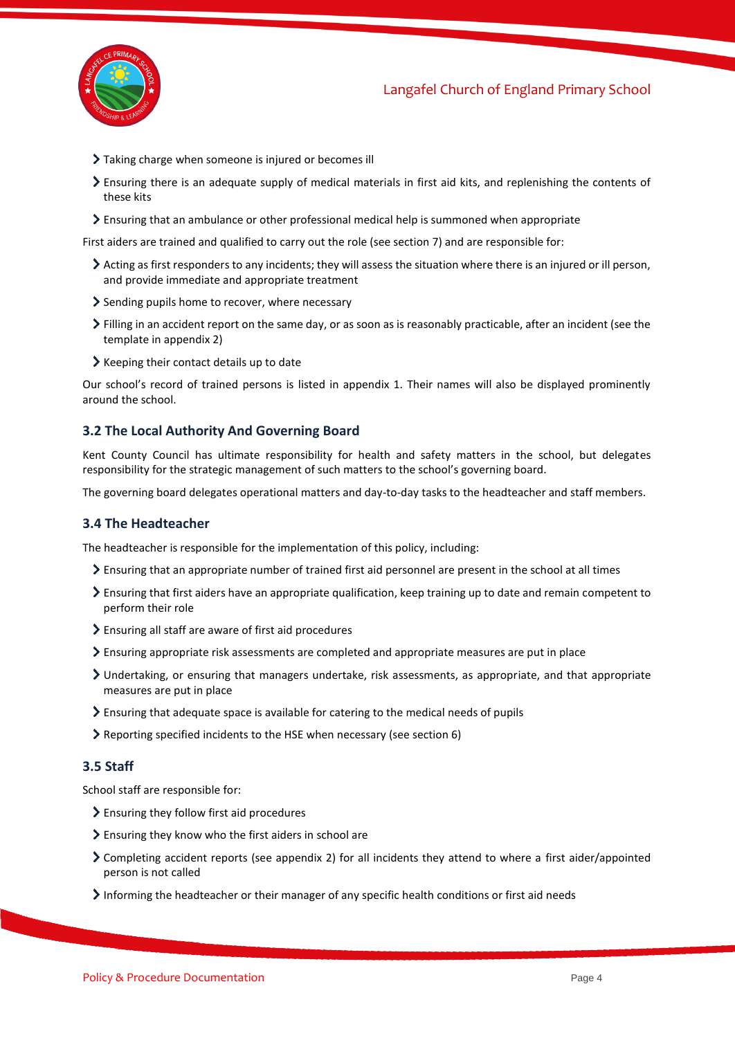

- Taking charge when someone is injured or becomes ill
- Ensuring there is an adequate supply of medical materials in first aid kits, and replenishing the contents of these kits
- Ensuring that an ambulance or other professional medical help is summoned when appropriate

First aiders are trained and qualified to carry out the role (see section 7) and are responsible for:

- Acting as first responders to any incidents; they will assess the situation where there is an injured or ill person, and provide immediate and appropriate treatment
- Sending pupils home to recover, where necessary
- Filling in an accident report on the same day, or as soon as is reasonably practicable, after an incident (see the template in appendix 2)
- $\blacktriangleright$  Keeping their contact details up to date

Our school's record of trained persons is listed in appendix 1. Their names will also be displayed prominently around the school.

#### **3.2 The Local Authority And Governing Board**

Kent County Council has ultimate responsibility for health and safety matters in the school, but delegates responsibility for the strategic management of such matters to the school's governing board.

The governing board delegates operational matters and day-to-day tasks to the headteacher and staff members.

#### **3.4 The Headteacher**

The headteacher is responsible for the implementation of this policy, including:

- Ensuring that an appropriate number of trained first aid personnel are present in the school at all times
- Ensuring that first aiders have an appropriate qualification, keep training up to date and remain competent to perform their role
- Ensuring all staff are aware of first aid procedures
- Ensuring appropriate risk assessments are completed and appropriate measures are put in place
- Undertaking, or ensuring that managers undertake, risk assessments, as appropriate, and that appropriate measures are put in place
- Ensuring that adequate space is available for catering to the medical needs of pupils
- Reporting specified incidents to the HSE when necessary (see section 6)

#### **3.5 Staff**

School staff are responsible for:

- Ensuring they follow first aid procedures
- Ensuring they know who the first aiders in school are
- Completing accident reports (see appendix 2) for all incidents they attend to where a first aider/appointed person is not called
- Informing the headteacher or their manager of any specific health conditions or first aid needs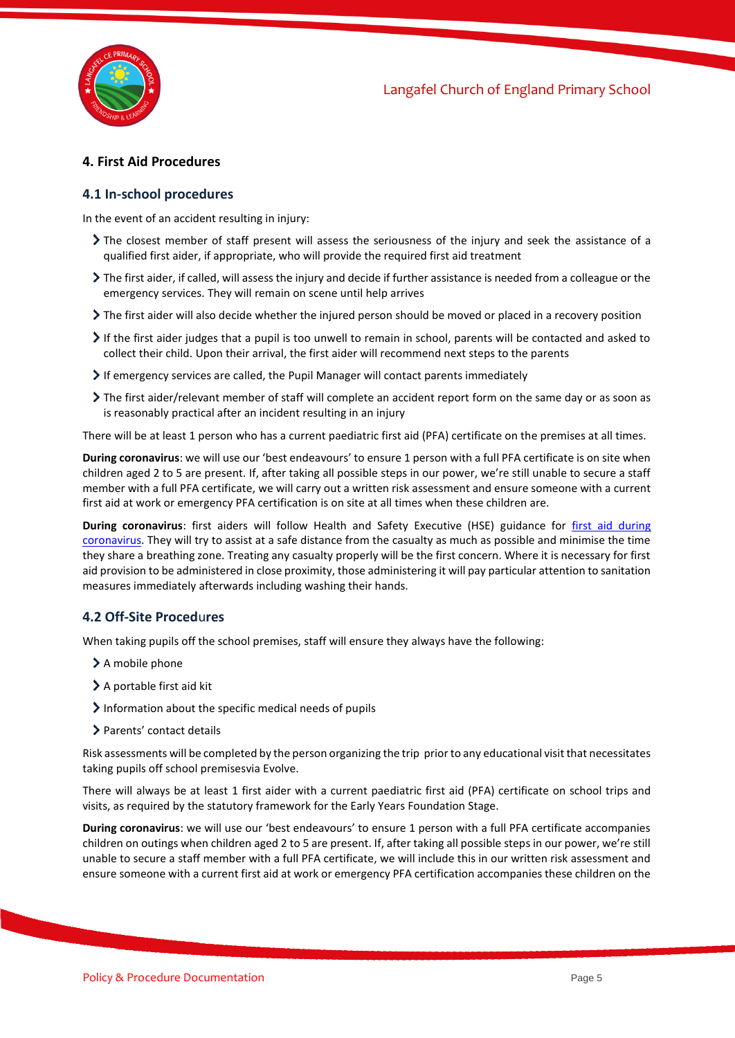

#### <span id="page-4-0"></span>**4. First Aid Procedures**

#### **4.1 In-school procedures**

In the event of an accident resulting in injury:

- The closest member of staff present will assess the seriousness of the injury and seek the assistance of a qualified first aider, if appropriate, who will provide the required first aid treatment
- The first aider, if called, will assess the injury and decide if further assistance is needed from a colleague or the emergency services. They will remain on scene until help arrives
- The first aider will also decide whether the injured person should be moved or placed in a recovery position
- If the first aider judges that a pupil is too unwell to remain in school, parents will be contacted and asked to collect their child. Upon their arrival, the first aider will recommend next steps to the parents
- If emergency services are called, the Pupil Manager will contact parents immediately
- The first aider/relevant member of staff will complete an accident report form on the same day or as soon as is reasonably practical after an incident resulting in an injury

There will be at least 1 person who has a current paediatric first aid (PFA) certificate on the premises at all times.

**During coronavirus**: we will use our 'best endeavours' to ensure 1 person with a full PFA certificate is on site when children aged 2 to 5 are present. If, after taking all possible steps in our power, we're still unable to secure a staff member with a full PFA certificate, we will carry out a written risk assessment and ensure someone with a current first aid at work or emergency PFA certification is on site at all times when these children are.

**During coronavirus**: first aiders will follow Health and Safety Executive (HSE) guidance for [first aid during](https://www.hse.gov.uk/coronavirus/first-aid-and-medicals/first-aid-certificate-coronavirus.htm)  [coronavirus.](https://www.hse.gov.uk/coronavirus/first-aid-and-medicals/first-aid-certificate-coronavirus.htm) They will try to assist at a safe distance from the casualty as much as possible and minimise the time they share a breathing zone. Treating any casualty properly will be the first concern. Where it is necessary for first aid provision to be administered in close proximity, those administering it will pay particular attention to sanitation measures immediately afterwards including washing their hands.

#### **4.2 Off-Site Proced**u**res**

When taking pupils off the school premises, staff will ensure they always have the following:

- > A mobile phone
- > A portable first aid kit
- Information about the specific medical needs of pupils
- > Parents' contact details

Risk assessments will be completed by the person organizing the trip prior to any educational visit that necessitates taking pupils off school premisesvia Evolve.

There will always be at least 1 first aider with a current paediatric first aid (PFA) certificate on school trips and visits, as required by the statutory framework for the Early Years Foundation Stage.

**During coronavirus**: we will use our 'best endeavours' to ensure 1 person with a full PFA certificate accompanies children on outings when children aged 2 to 5 are present. If, after taking all possible steps in our power, we're still unable to secure a staff member with a full PFA certificate, we will include this in our written risk assessment and ensure someone with a current first aid at work or emergency PFA certification accompanies these children on the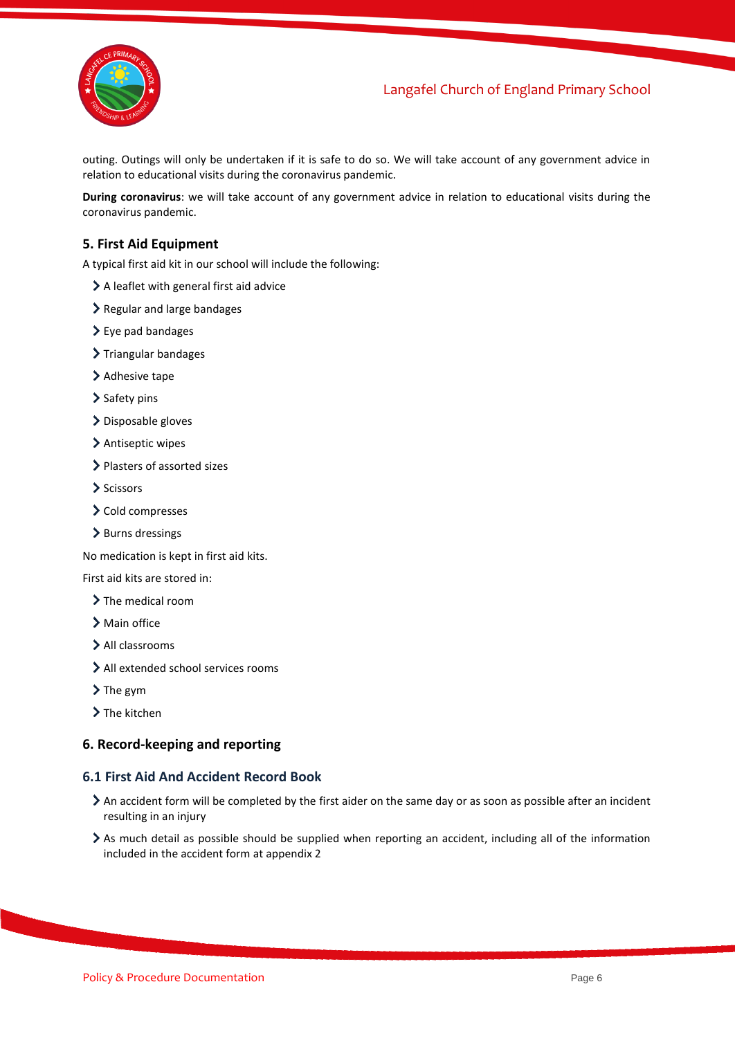

### Langafel Church of England Primary School

outing. Outings will only be undertaken if it is safe to do so. We will take account of any government advice in relation to educational visits during the coronavirus pandemic.

**During coronavirus**: we will take account of any government advice in relation to educational visits during the coronavirus pandemic.

#### <span id="page-5-0"></span>**5. First Aid Equipment**

A typical first aid kit in our school will include the following:

- A leaflet with general first aid advice
- > Regular and large bandages
- $\geq$  Eye pad bandages
- > Triangular bandages
- > Adhesive tape
- > Safety pins
- > Disposable gloves
- > Antiseptic wipes
- > Plasters of assorted sizes
- $\sum$  Scissors
- > Cold compresses
- > Burns dressings

No medication is kept in first aid kits.

First aid kits are stored in:

- > The medical room
- > Main office
- > All classrooms
- All extended school services rooms
- $\sum$  The gym
- > The kitchen

#### <span id="page-5-1"></span>**6. Record-keeping and reporting**

#### **6.1 First Aid And Accident Record Book**

- An accident form will be completed by the first aider on the same day or as soon as possible after an incident resulting in an injury
- As much detail as possible should be supplied when reporting an accident, including all of the information included in the accident form at appendix 2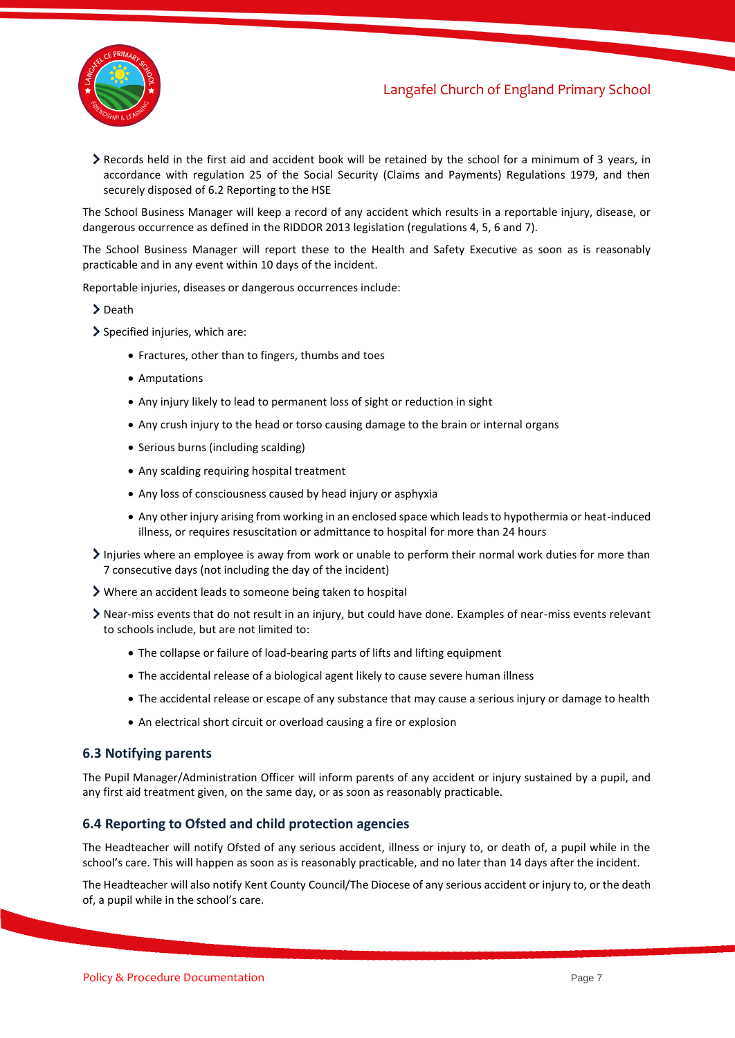

Records held in the first aid and accident book will be retained by the school for a minimum of 3 years, in accordance with regulation 25 of the Social Security (Claims and Payments) Regulations 1979, and then securely disposed of 6.2 Reporting to the HSE

The School Business Manager will keep a record of any accident which results in a reportable injury, disease, or dangerous occurrence as defined in the RIDDOR 2013 legislation (regulations 4, 5, 6 and 7).

The School Business Manager will report these to the Health and Safety Executive as soon as is reasonably practicable and in any event within 10 days of the incident.

Reportable injuries, diseases or dangerous occurrences include:

- > Death
- > Specified injuries, which are:
	- Fractures, other than to fingers, thumbs and toes
	- Amputations
	- Any injury likely to lead to permanent loss of sight or reduction in sight
	- Any crush injury to the head or torso causing damage to the brain or internal organs
	- Serious burns (including scalding)
	- Any scalding requiring hospital treatment
	- Any loss of consciousness caused by head injury or asphyxia
	- Any other injury arising from working in an enclosed space which leads to hypothermia or heat-induced illness, or requires resuscitation or admittance to hospital for more than 24 hours
- Injuries where an employee is away from work or unable to perform their normal work duties for more than 7 consecutive days (not including the day of the incident)
- Where an accident leads to someone being taken to hospital
- Near-miss events that do not result in an injury, but could have done. Examples of near-miss events relevant to schools include, but are not limited to:
	- The collapse or failure of load-bearing parts of lifts and lifting equipment
	- The accidental release of a biological agent likely to cause severe human illness
	- The accidental release or escape of any substance that may cause a serious injury or damage to health
	- An electrical short circuit or overload causing a fire or explosion

#### **6.3 Notifying parents**

The Pupil Manager/Administration Officer will inform parents of any accident or injury sustained by a pupil, and any first aid treatment given, on the same day, or as soon as reasonably practicable.

#### **6.4 Reporting to Ofsted and child protection agencies**

The Headteacher will notify Ofsted of any serious accident, illness or injury to, or death of, a pupil while in the school's care. This will happen as soon as is reasonably practicable, and no later than 14 days after the incident.

The Headteacher will also notify Kent County Council/The Diocese of any serious accident or injury to, or the death of, a pupil while in the school's care.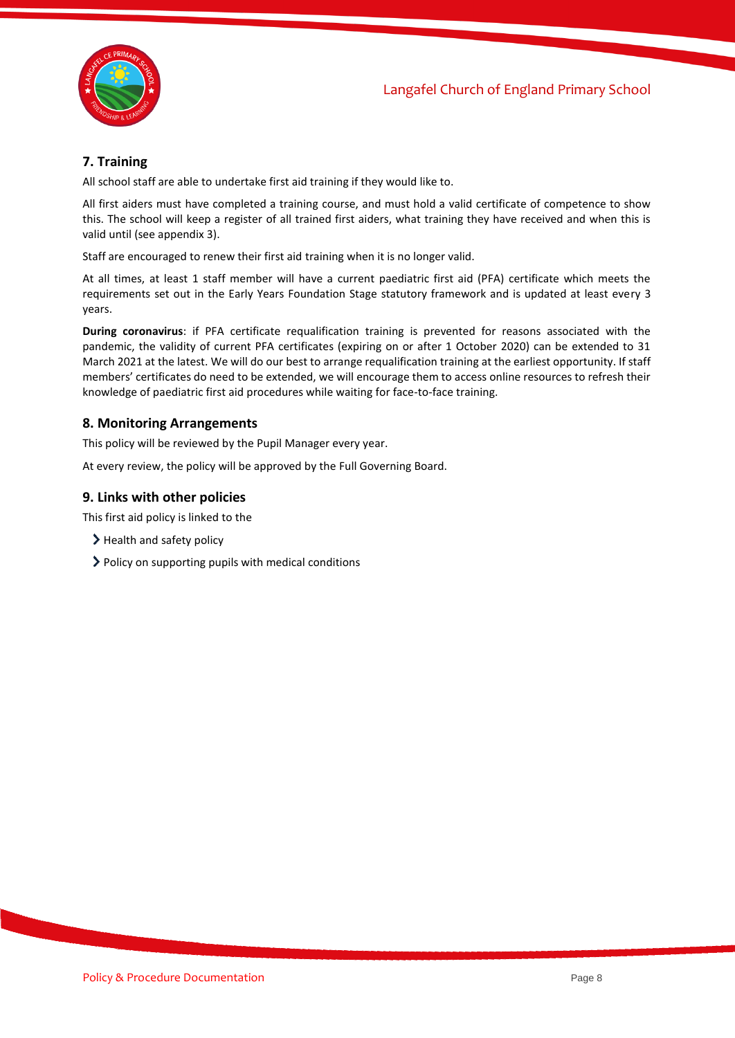

#### <span id="page-7-0"></span>**7. Training**

All school staff are able to undertake first aid training if they would like to.

All first aiders must have completed a training course, and must hold a valid certificate of competence to show this. The school will keep a register of all trained first aiders, what training they have received and when this is valid until (see appendix 3).

Staff are encouraged to renew their first aid training when it is no longer valid.

At all times, at least 1 staff member will have a current paediatric first aid (PFA) certificate which meets the requirements set out in the Early Years Foundation Stage statutory framework and is updated at least every 3 years.

**During coronavirus**: if PFA certificate requalification training is prevented for reasons associated with the pandemic, the validity of current PFA certificates (expiring on or after 1 October 2020) can be extended to 31 March 2021 at the latest. We will do our best to arrange requalification training at the earliest opportunity. If staff members' certificates do need to be extended, we will encourage them to access online resources to refresh their knowledge of paediatric first aid procedures while waiting for face-to-face training.

#### <span id="page-7-1"></span>**8. Monitoring Arrangements**

This policy will be reviewed by the Pupil Manager every year.

At every review, the policy will be approved by the Full Governing Board.

#### <span id="page-7-2"></span>**9. Links with other policies**

This first aid policy is linked to the

- > Health and safety policy
- > Policy on supporting pupils with medical conditions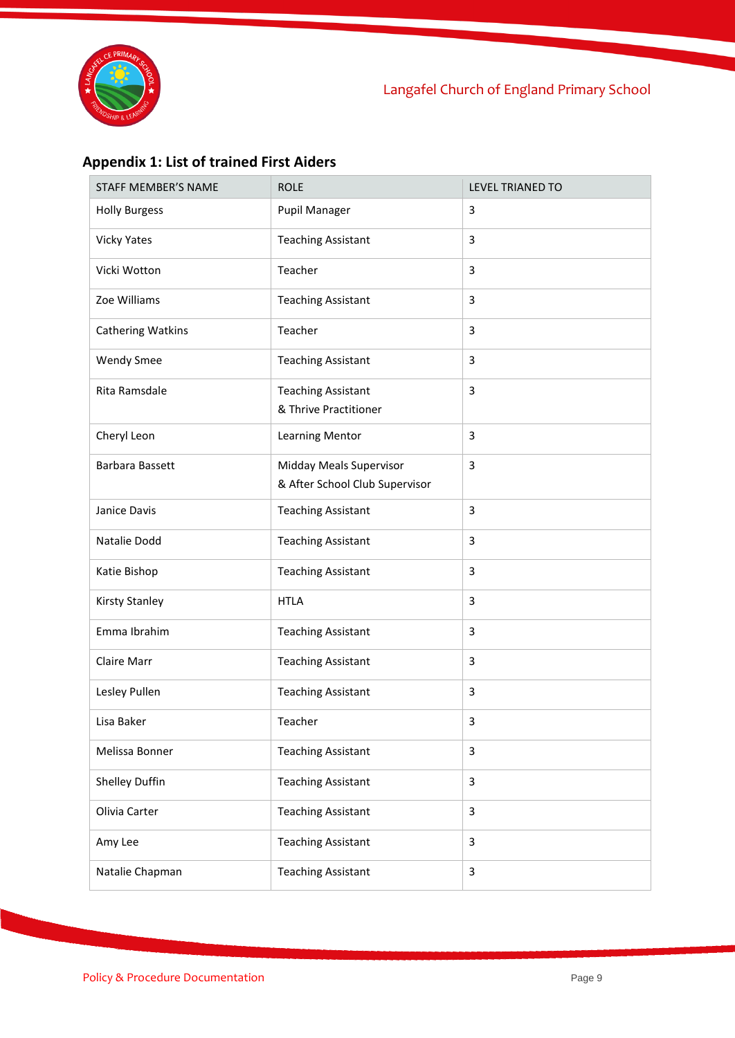

## **Appendix 1: List of trained First Aiders**

| STAFF MEMBER'S NAME      | <b>ROLE</b>                                               | <b>LEVEL TRIANED TO</b> |
|--------------------------|-----------------------------------------------------------|-------------------------|
| <b>Holly Burgess</b>     | <b>Pupil Manager</b>                                      | 3                       |
| <b>Vicky Yates</b>       | <b>Teaching Assistant</b>                                 | 3                       |
| Vicki Wotton             | Teacher                                                   | 3                       |
| Zoe Williams             | <b>Teaching Assistant</b>                                 | 3                       |
| <b>Cathering Watkins</b> | Teacher                                                   | 3                       |
| <b>Wendy Smee</b>        | <b>Teaching Assistant</b>                                 | 3                       |
| Rita Ramsdale            | <b>Teaching Assistant</b><br>& Thrive Practitioner        | 3                       |
| Cheryl Leon              | <b>Learning Mentor</b>                                    | 3                       |
| Barbara Bassett          | Midday Meals Supervisor<br>& After School Club Supervisor | 3                       |
| Janice Davis             | <b>Teaching Assistant</b>                                 | 3                       |
| Natalie Dodd             | <b>Teaching Assistant</b>                                 | 3                       |
| Katie Bishop             | <b>Teaching Assistant</b>                                 | 3                       |
| <b>Kirsty Stanley</b>    | <b>HTLA</b>                                               | 3                       |
| Emma Ibrahim             | <b>Teaching Assistant</b>                                 | 3                       |
| Claire Marr              | <b>Teaching Assistant</b>                                 | 3                       |
| Lesley Pullen            | <b>Teaching Assistant</b>                                 | 3                       |
| Lisa Baker               | Teacher                                                   | 3                       |
| Melissa Bonner           | <b>Teaching Assistant</b>                                 | 3                       |
| Shelley Duffin           | <b>Teaching Assistant</b>                                 | 3                       |
| Olivia Carter            | <b>Teaching Assistant</b>                                 | 3                       |
| Amy Lee                  | <b>Teaching Assistant</b>                                 | $\mathbf{3}$            |
| Natalie Chapman          | <b>Teaching Assistant</b>                                 | $\mathbf{3}$            |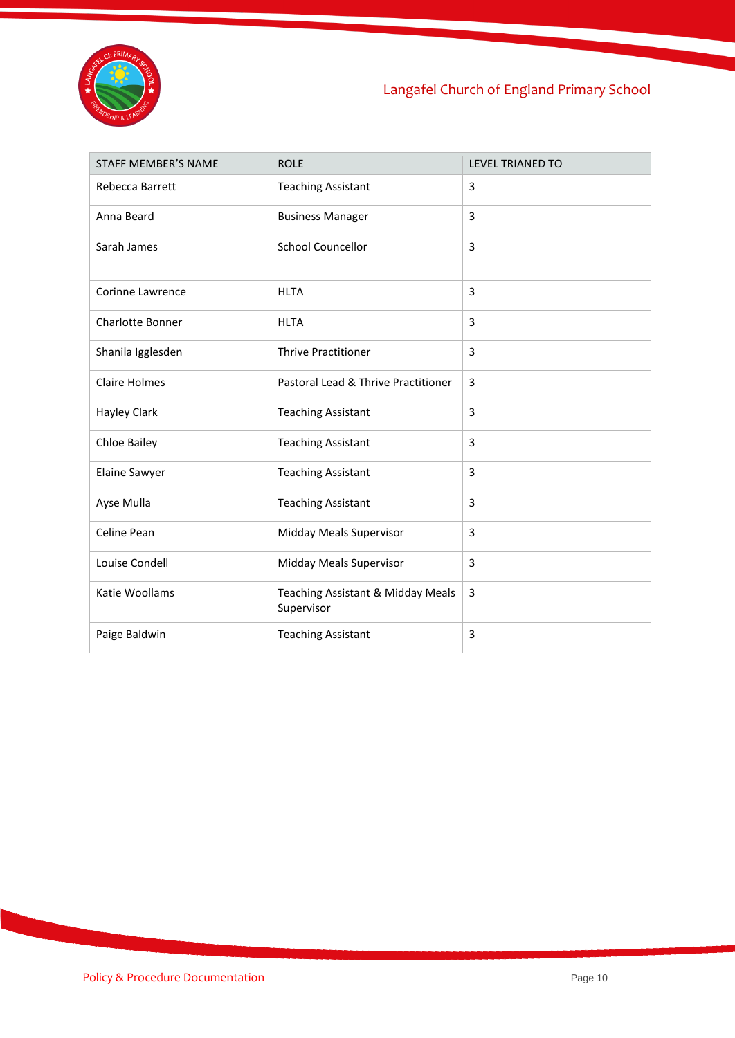

## Langafel Church of England Primary School

<span id="page-9-0"></span>

| <b>STAFF MEMBER'S NAME</b> | <b>ROLE</b>                                     | <b>LEVEL TRIANED TO</b> |
|----------------------------|-------------------------------------------------|-------------------------|
| Rebecca Barrett            | <b>Teaching Assistant</b>                       | 3                       |
| Anna Beard                 | <b>Business Manager</b>                         | 3                       |
| Sarah James                | <b>School Councellor</b>                        | 3                       |
| <b>Corinne Lawrence</b>    | <b>HLTA</b>                                     | 3                       |
| <b>Charlotte Bonner</b>    | <b>HLTA</b>                                     | 3                       |
| Shanila Igglesden          | <b>Thrive Practitioner</b>                      | 3                       |
| <b>Claire Holmes</b>       | Pastoral Lead & Thrive Practitioner             | 3                       |
| Hayley Clark               | <b>Teaching Assistant</b>                       | 3                       |
| <b>Chloe Bailey</b>        | <b>Teaching Assistant</b>                       | 3                       |
| Elaine Sawyer              | <b>Teaching Assistant</b>                       | 3                       |
| Ayse Mulla                 | <b>Teaching Assistant</b>                       | 3                       |
| Celine Pean                | Midday Meals Supervisor                         | 3                       |
| Louise Condell             | Midday Meals Supervisor                         | 3                       |
| Katie Woollams             | Teaching Assistant & Midday Meals<br>Supervisor | 3                       |
| Paige Baldwin              | <b>Teaching Assistant</b>                       | 3                       |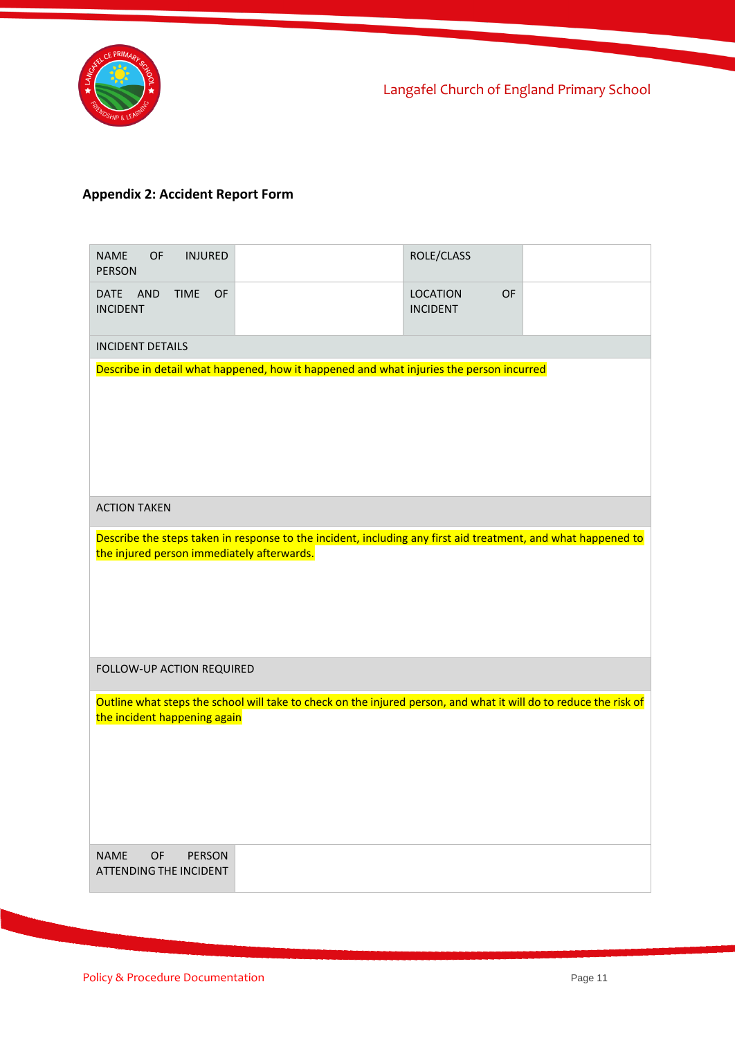

## **Appendix 2: Accident Report Form**

| <b>NAME</b><br><b>INJURED</b><br>OF<br><b>PERSON</b>                                                                                              |                                                                                                               | ROLE/CLASS                               |  |  |
|---------------------------------------------------------------------------------------------------------------------------------------------------|---------------------------------------------------------------------------------------------------------------|------------------------------------------|--|--|
| <b>DATE</b><br><b>AND</b><br><b>TIME</b><br>OF<br><b>INCIDENT</b>                                                                                 |                                                                                                               | <b>LOCATION</b><br>OF<br><b>INCIDENT</b> |  |  |
| <b>INCIDENT DETAILS</b>                                                                                                                           |                                                                                                               |                                          |  |  |
|                                                                                                                                                   | Describe in detail what happened, how it happened and what injuries the person incurred                       |                                          |  |  |
| <b>ACTION TAKEN</b>                                                                                                                               |                                                                                                               |                                          |  |  |
| the injured person immediately afterwards.                                                                                                        | Describe the steps taken in response to the incident, including any first aid treatment, and what happened to |                                          |  |  |
| FOLLOW-UP ACTION REQUIRED                                                                                                                         |                                                                                                               |                                          |  |  |
| Outline what steps the school will take to check on the injured person, and what it will do to reduce the risk of<br>the incident happening again |                                                                                                               |                                          |  |  |
| <b>NAME</b><br><b>OF</b><br><b>PERSON</b><br><b>ATTENDING THE INCIDENT</b>                                                                        |                                                                                                               |                                          |  |  |